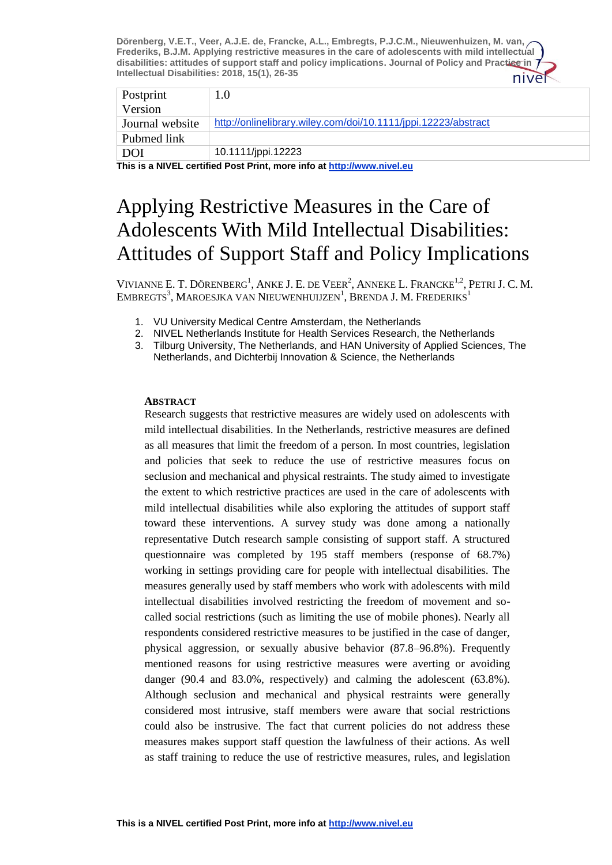| Postprint                                                               | 1.0                                                            |  |  |  |
|-------------------------------------------------------------------------|----------------------------------------------------------------|--|--|--|
| Version                                                                 |                                                                |  |  |  |
| Journal website                                                         | http://onlinelibrary.wiley.com/doi/10.1111/jppi.12223/abstract |  |  |  |
| Pubmed link                                                             |                                                                |  |  |  |
| DOI                                                                     | 10.1111/jppi.12223                                             |  |  |  |
| This is a NIVEL santified Deat Drint, mans info at http://www.piyal.org |                                                                |  |  |  |

**This is a NIVEL certified Post Print, more info at [http://www.nivel.eu](http://www.nivel.eu/)**

# Applying Restrictive Measures in the Care of Adolescents With Mild Intellectual Disabilities: Attitudes of Support Staff and Policy Implications

VIVIANNE E. T. DÖRENBERG $^{\rm l}$ , Anke J. E. de Veer $^{\rm 2}$ , Anneke L. Francke $^{\rm l,2}$ , Petri J. C. M. EMBREGTS $^3$ , Maroesjka van Nieuwenhuijzen $^1$ , Brenda J. M. Frederiks $^1$ 

- 1. VU University Medical Centre Amsterdam, the Netherlands
- 2. NIVEL Netherlands Institute for Health Services Research, the Netherlands
- 3. Tilburg University, The Netherlands, and HAN University of Applied Sciences, The Netherlands, and Dichterbij Innovation & Science, the Netherlands

#### **ABSTRACT**

Research suggests that restrictive measures are widely used on adolescents with mild intellectual disabilities. In the Netherlands, restrictive measures are defined as all measures that limit the freedom of a person. In most countries, legislation and policies that seek to reduce the use of restrictive measures focus on seclusion and mechanical and physical restraints. The study aimed to investigate the extent to which restrictive practices are used in the care of adolescents with mild intellectual disabilities while also exploring the attitudes of support staff toward these interventions. A survey study was done among a nationally representative Dutch research sample consisting of support staff. A structured questionnaire was completed by 195 staff members (response of 68.7%) working in settings providing care for people with intellectual disabilities. The measures generally used by staff members who work with adolescents with mild intellectual disabilities involved restricting the freedom of movement and socalled social restrictions (such as limiting the use of mobile phones). Nearly all respondents considered restrictive measures to be justified in the case of danger, physical aggression, or sexually abusive behavior (87.8–96.8%). Frequently mentioned reasons for using restrictive measures were averting or avoiding danger (90.4 and 83.0%, respectively) and calming the adolescent (63.8%). Although seclusion and mechanical and physical restraints were generally considered most intrusive, staff members were aware that social restrictions could also be instrusive. The fact that current policies do not address these measures makes support staff question the lawfulness of their actions. As well as staff training to reduce the use of restrictive measures, rules, and legislation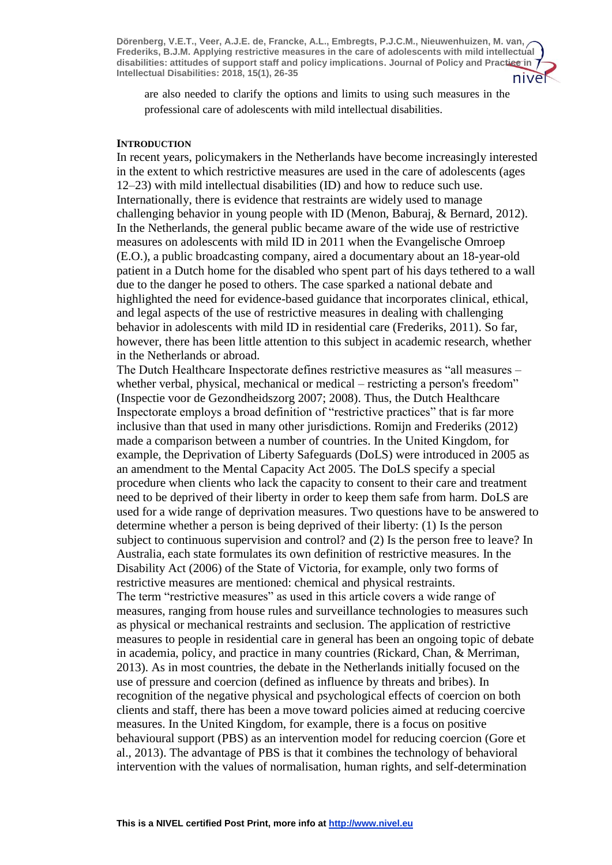are also needed to clarify the options and limits to using such measures in the professional care of adolescents with mild intellectual disabilities.

#### **INTRODUCTION**

In recent years, policymakers in the Netherlands have become increasingly interested in the extent to which restrictive measures are used in the care of adolescents (ages 12–23) with mild intellectual disabilities (ID) and how to reduce such use. Internationally, there is evidence that restraints are widely used to manage challenging behavior in young people with ID (Menon, Baburaj, & Bernard, 2012). In the Netherlands, the general public became aware of the wide use of restrictive measures on adolescents with mild ID in 2011 when the Evangelische Omroep (E.O.), a public broadcasting company, aired a documentary about an 18-year-old patient in a Dutch home for the disabled who spent part of his days tethered to a wall due to the danger he posed to others. The case sparked a national debate and highlighted the need for evidence-based guidance that incorporates clinical, ethical, and legal aspects of the use of restrictive measures in dealing with challenging behavior in adolescents with mild ID in residential care (Frederiks, 2011). So far, however, there has been little attention to this subject in academic research, whether in the Netherlands or abroad.

The Dutch Healthcare Inspectorate defines restrictive measures as "all measures – whether verbal, physical, mechanical or medical – restricting a person's freedom" (Inspectie voor de Gezondheidszorg 2007; 2008). Thus, the Dutch Healthcare Inspectorate employs a broad definition of "restrictive practices" that is far more inclusive than that used in many other jurisdictions. Romijn and Frederiks (2012) made a comparison between a number of countries. In the United Kingdom, for example, the Deprivation of Liberty Safeguards (DoLS) were introduced in 2005 as an amendment to the Mental Capacity Act 2005. The DoLS specify a special procedure when clients who lack the capacity to consent to their care and treatment need to be deprived of their liberty in order to keep them safe from harm. DoLS are used for a wide range of deprivation measures. Two questions have to be answered to determine whether a person is being deprived of their liberty: (1) Is the person subject to continuous supervision and control? and (2) Is the person free to leave? In Australia, each state formulates its own definition of restrictive measures. In the Disability Act (2006) of the State of Victoria, for example, only two forms of restrictive measures are mentioned: chemical and physical restraints. The term "restrictive measures" as used in this article covers a wide range of measures, ranging from house rules and surveillance technologies to measures such as physical or mechanical restraints and seclusion. The application of restrictive measures to people in residential care in general has been an ongoing topic of debate in academia, policy, and practice in many countries (Rickard, Chan, & Merriman, 2013). As in most countries, the debate in the Netherlands initially focused on the use of pressure and coercion (defined as influence by threats and bribes). In recognition of the negative physical and psychological effects of coercion on both clients and staff, there has been a move toward policies aimed at reducing coercive measures. In the United Kingdom, for example, there is a focus on positive behavioural support (PBS) as an intervention model for reducing coercion (Gore et al., 2013). The advantage of PBS is that it combines the technology of behavioral intervention with the values of normalisation, human rights, and self-determination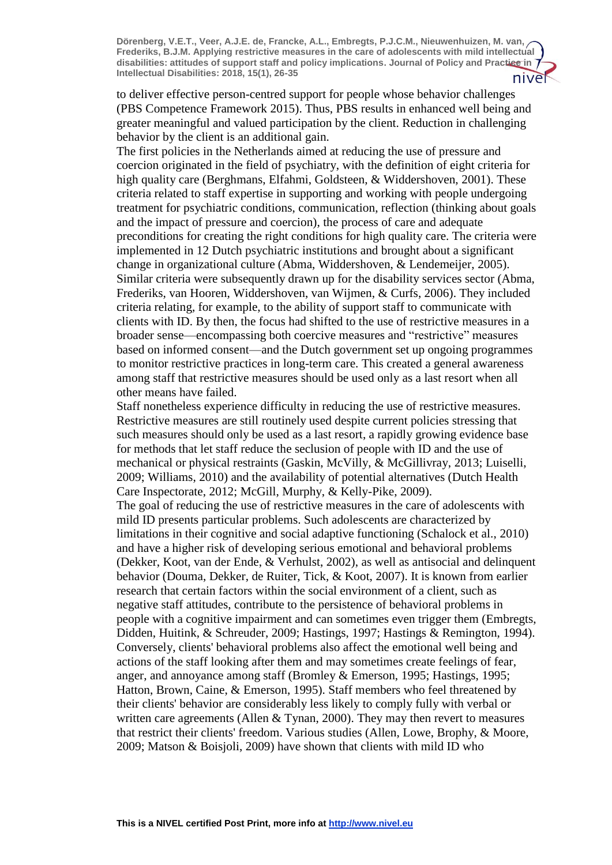to deliver effective person-centred support for people whose behavior challenges (PBS Competence Framework 2015). Thus, PBS results in enhanced well being and greater meaningful and valued participation by the client. Reduction in challenging behavior by the client is an additional gain.

The first policies in the Netherlands aimed at reducing the use of pressure and coercion originated in the field of psychiatry, with the definition of eight criteria for high quality care (Berghmans, Elfahmi, Goldsteen, & Widdershoven, 2001). These criteria related to staff expertise in supporting and working with people undergoing treatment for psychiatric conditions, communication, reflection (thinking about goals and the impact of pressure and coercion), the process of care and adequate preconditions for creating the right conditions for high quality care. The criteria were implemented in 12 Dutch psychiatric institutions and brought about a significant change in organizational culture (Abma, Widdershoven, & Lendemeijer, 2005). Similar criteria were subsequently drawn up for the disability services sector (Abma, Frederiks, van Hooren, Widdershoven, van Wijmen, & Curfs, 2006). They included criteria relating, for example, to the ability of support staff to communicate with clients with ID. By then, the focus had shifted to the use of restrictive measures in a broader sense—encompassing both coercive measures and "restrictive" measures based on informed consent—and the Dutch government set up ongoing programmes to monitor restrictive practices in long-term care. This created a general awareness among staff that restrictive measures should be used only as a last resort when all other means have failed.

Staff nonetheless experience difficulty in reducing the use of restrictive measures. Restrictive measures are still routinely used despite current policies stressing that such measures should only be used as a last resort, a rapidly growing evidence base for methods that let staff reduce the seclusion of people with ID and the use of mechanical or physical restraints (Gaskin, McVilly, & McGillivray, 2013; Luiselli, 2009; Williams, 2010) and the availability of potential alternatives (Dutch Health Care Inspectorate, 2012; McGill, Murphy, & Kelly-Pike, 2009).

The goal of reducing the use of restrictive measures in the care of adolescents with mild ID presents particular problems. Such adolescents are characterized by limitations in their cognitive and social adaptive functioning (Schalock et al., 2010) and have a higher risk of developing serious emotional and behavioral problems (Dekker, Koot, van der Ende, & Verhulst, 2002), as well as antisocial and delinquent behavior (Douma, Dekker, de Ruiter, Tick, & Koot, 2007). It is known from earlier research that certain factors within the social environment of a client, such as negative staff attitudes, contribute to the persistence of behavioral problems in people with a cognitive impairment and can sometimes even trigger them (Embregts, Didden, Huitink, & Schreuder, 2009; Hastings, 1997; Hastings & Remington, 1994). Conversely, clients' behavioral problems also affect the emotional well being and actions of the staff looking after them and may sometimes create feelings of fear, anger, and annoyance among staff (Bromley & Emerson, 1995; Hastings, 1995; Hatton, Brown, Caine, & Emerson, 1995). Staff members who feel threatened by their clients' behavior are considerably less likely to comply fully with verbal or written care agreements (Allen  $&$  Tynan, 2000). They may then revert to measures that restrict their clients' freedom. Various studies (Allen, Lowe, Brophy, & Moore, 2009; Matson & Boisjoli, 2009) have shown that clients with mild ID who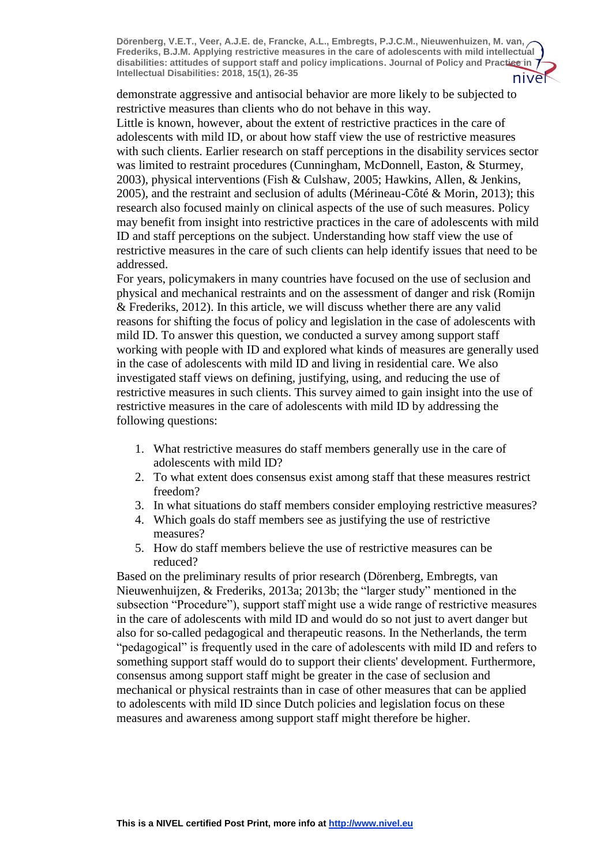demonstrate aggressive and antisocial behavior are more likely to be subjected to restrictive measures than clients who do not behave in this way.

Little is known, however, about the extent of restrictive practices in the care of adolescents with mild ID, or about how staff view the use of restrictive measures with such clients. Earlier research on staff perceptions in the disability services sector was limited to restraint procedures (Cunningham, McDonnell, Easton, & Sturmey, 2003), physical interventions (Fish & Culshaw, 2005; Hawkins, Allen, & Jenkins, 2005), and the restraint and seclusion of adults (Mérineau-Côté & Morin, 2013); this research also focused mainly on clinical aspects of the use of such measures. Policy may benefit from insight into restrictive practices in the care of adolescents with mild ID and staff perceptions on the subject. Understanding how staff view the use of restrictive measures in the care of such clients can help identify issues that need to be addressed.

For years, policymakers in many countries have focused on the use of seclusion and physical and mechanical restraints and on the assessment of danger and risk (Romijn & Frederiks, 2012). In this article, we will discuss whether there are any valid reasons for shifting the focus of policy and legislation in the case of adolescents with mild ID. To answer this question, we conducted a survey among support staff working with people with ID and explored what kinds of measures are generally used in the case of adolescents with mild ID and living in residential care. We also investigated staff views on defining, justifying, using, and reducing the use of restrictive measures in such clients. This survey aimed to gain insight into the use of restrictive measures in the care of adolescents with mild ID by addressing the following questions:

- 1. What restrictive measures do staff members generally use in the care of adolescents with mild ID?
- 2. To what extent does consensus exist among staff that these measures restrict freedom?
- 3. In what situations do staff members consider employing restrictive measures?
- 4. Which goals do staff members see as justifying the use of restrictive measures?
- 5. How do staff members believe the use of restrictive measures can be reduced?

Based on the preliminary results of prior research (Dörenberg, Embregts, van Nieuwenhuijzen, & Frederiks, 2013a; 2013b; the "larger study" mentioned in the subsection "Procedure"), support staff might use a wide range of restrictive measures in the care of adolescents with mild ID and would do so not just to avert danger but also for so-called pedagogical and therapeutic reasons. In the Netherlands, the term "pedagogical" is frequently used in the care of adolescents with mild ID and refers to something support staff would do to support their clients' development. Furthermore, consensus among support staff might be greater in the case of seclusion and mechanical or physical restraints than in case of other measures that can be applied to adolescents with mild ID since Dutch policies and legislation focus on these measures and awareness among support staff might therefore be higher.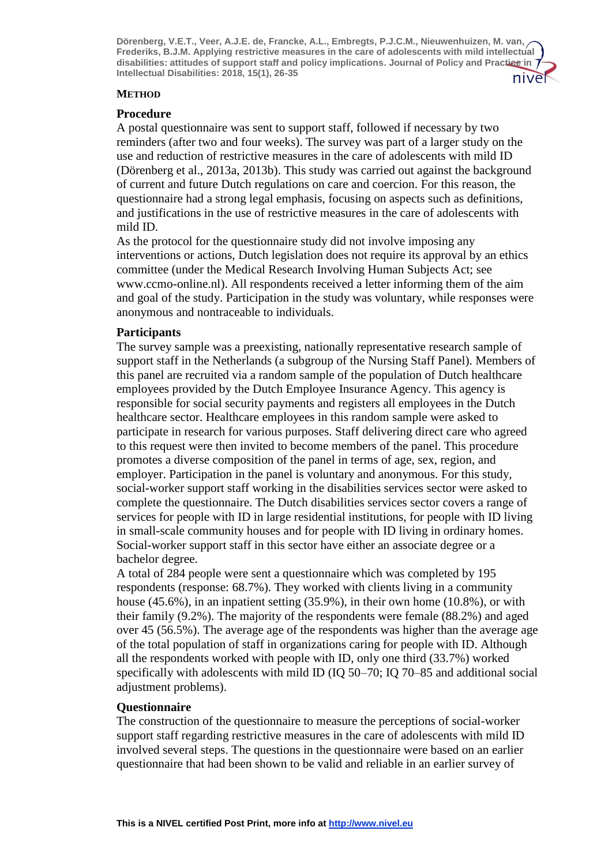## **METHOD**

# **Procedure**

A postal questionnaire was sent to support staff, followed if necessary by two reminders (after two and four weeks). The survey was part of a larger study on the use and reduction of restrictive measures in the care of adolescents with mild ID (Dörenberg et al., 2013a, 2013b). This study was carried out against the background of current and future Dutch regulations on care and coercion. For this reason, the questionnaire had a strong legal emphasis, focusing on aspects such as definitions, and justifications in the use of restrictive measures in the care of adolescents with mild ID.

As the protocol for the questionnaire study did not involve imposing any interventions or actions, Dutch legislation does not require its approval by an ethics committee (under the Medical Research Involving Human Subjects Act; see www.ccmo-online.nl). All respondents received a letter informing them of the aim and goal of the study. Participation in the study was voluntary, while responses were anonymous and nontraceable to individuals.

# **Participants**

The survey sample was a preexisting, nationally representative research sample of support staff in the Netherlands (a subgroup of the Nursing Staff Panel). Members of this panel are recruited via a random sample of the population of Dutch healthcare employees provided by the Dutch Employee Insurance Agency. This agency is responsible for social security payments and registers all employees in the Dutch healthcare sector. Healthcare employees in this random sample were asked to participate in research for various purposes. Staff delivering direct care who agreed to this request were then invited to become members of the panel. This procedure promotes a diverse composition of the panel in terms of age, sex, region, and employer. Participation in the panel is voluntary and anonymous. For this study, social-worker support staff working in the disabilities services sector were asked to complete the questionnaire. The Dutch disabilities services sector covers a range of services for people with ID in large residential institutions, for people with ID living in small-scale community houses and for people with ID living in ordinary homes. Social-worker support staff in this sector have either an associate degree or a bachelor degree.

A total of 284 people were sent a questionnaire which was completed by 195 respondents (response: 68.7%). They worked with clients living in a community house (45.6%), in an inpatient setting (35.9%), in their own home (10.8%), or with their family (9.2%). The majority of the respondents were female (88.2%) and aged over 45 (56.5%). The average age of the respondents was higher than the average age of the total population of staff in organizations caring for people with ID. Although all the respondents worked with people with ID, only one third (33.7%) worked specifically with adolescents with mild ID (IQ 50–70; IQ 70–85 and additional social adjustment problems).

# **Questionnaire**

The construction of the questionnaire to measure the perceptions of social-worker support staff regarding restrictive measures in the care of adolescents with mild ID involved several steps. The questions in the questionnaire were based on an earlier questionnaire that had been shown to be valid and reliable in an earlier survey of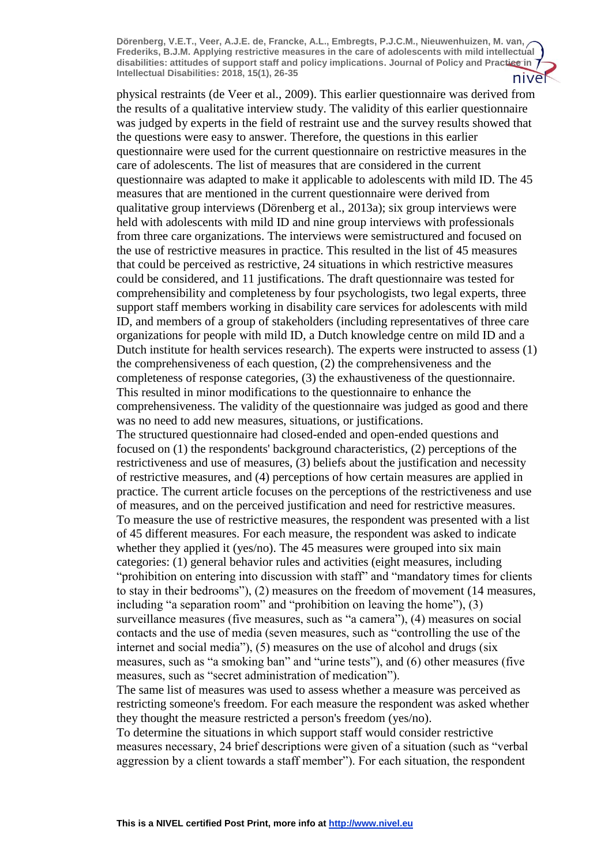physical restraints (de Veer et al., 2009). This earlier questionnaire was derived from the results of a qualitative interview study. The validity of this earlier questionnaire was judged by experts in the field of restraint use and the survey results showed that the questions were easy to answer. Therefore, the questions in this earlier questionnaire were used for the current questionnaire on restrictive measures in the care of adolescents. The list of measures that are considered in the current questionnaire was adapted to make it applicable to adolescents with mild ID. The 45 measures that are mentioned in the current questionnaire were derived from qualitative group interviews (Dörenberg et al., 2013a); six group interviews were held with adolescents with mild ID and nine group interviews with professionals from three care organizations. The interviews were semistructured and focused on the use of restrictive measures in practice. This resulted in the list of 45 measures that could be perceived as restrictive, 24 situations in which restrictive measures could be considered, and 11 justifications. The draft questionnaire was tested for comprehensibility and completeness by four psychologists, two legal experts, three support staff members working in disability care services for adolescents with mild ID, and members of a group of stakeholders (including representatives of three care organizations for people with mild ID, a Dutch knowledge centre on mild ID and a Dutch institute for health services research). The experts were instructed to assess (1) the comprehensiveness of each question, (2) the comprehensiveness and the completeness of response categories, (3) the exhaustiveness of the questionnaire. This resulted in minor modifications to the questionnaire to enhance the comprehensiveness. The validity of the questionnaire was judged as good and there was no need to add new measures, situations, or justifications. The structured questionnaire had closed-ended and open-ended questions and focused on (1) the respondents' background characteristics, (2) perceptions of the restrictiveness and use of measures, (3) beliefs about the justification and necessity of restrictive measures, and (4) perceptions of how certain measures are applied in practice. The current article focuses on the perceptions of the restrictiveness and use of measures, and on the perceived justification and need for restrictive measures. To measure the use of restrictive measures, the respondent was presented with a list of 45 different measures. For each measure, the respondent was asked to indicate whether they applied it (yes/no). The 45 measures were grouped into six main categories: (1) general behavior rules and activities (eight measures, including "prohibition on entering into discussion with staff" and "mandatory times for clients to stay in their bedrooms"), (2) measures on the freedom of movement (14 measures, including "a separation room" and "prohibition on leaving the home"), (3) surveillance measures (five measures, such as "a camera"), (4) measures on social contacts and the use of media (seven measures, such as "controlling the use of the internet and social media"), (5) measures on the use of alcohol and drugs (six measures, such as "a smoking ban" and "urine tests"), and (6) other measures (five measures, such as "secret administration of medication").

The same list of measures was used to assess whether a measure was perceived as restricting someone's freedom. For each measure the respondent was asked whether they thought the measure restricted a person's freedom (yes/no).

To determine the situations in which support staff would consider restrictive measures necessary, 24 brief descriptions were given of a situation (such as "verbal aggression by a client towards a staff member"). For each situation, the respondent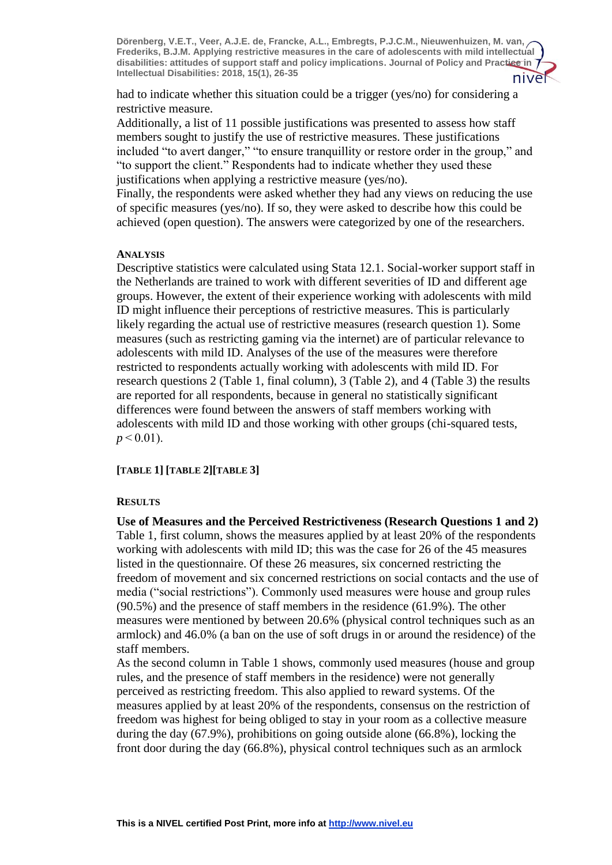had to indicate whether this situation could be a trigger (yes/no) for considering a restrictive measure.

Additionally, a list of 11 possible justifications was presented to assess how staff members sought to justify the use of restrictive measures. These justifications included "to avert danger," "to ensure tranquillity or restore order in the group," and "to support the client." Respondents had to indicate whether they used these justifications when applying a restrictive measure (yes/no).

Finally, the respondents were asked whether they had any views on reducing the use of specific measures (yes/no). If so, they were asked to describe how this could be achieved (open question). The answers were categorized by one of the researchers.

#### **ANALYSIS**

Descriptive statistics were calculated using Stata 12.1. Social-worker support staff in the Netherlands are trained to work with different severities of ID and different age groups. However, the extent of their experience working with adolescents with mild ID might influence their perceptions of restrictive measures. This is particularly likely regarding the actual use of restrictive measures (research question 1). Some measures (such as restricting gaming via the internet) are of particular relevance to adolescents with mild ID. Analyses of the use of the measures were therefore restricted to respondents actually working with adolescents with mild ID. For research questions 2 (Table 1, final column), 3 (Table 2), and 4 (Table 3) the results are reported for all respondents, because in general no statistically significant differences were found between the answers of staff members working with adolescents with mild ID and those working with other groups (chi-squared tests,  $p$ <sup> $<$ </sup>0.01).

#### **[TABLE 1] [TABLE 2][TABLE 3]**

#### **RESULTS**

**Use of Measures and the Perceived Restrictiveness (Research Questions 1 and 2)** Table 1, first column, shows the measures applied by at least 20% of the respondents working with adolescents with mild ID; this was the case for 26 of the 45 measures listed in the questionnaire. Of these 26 measures, six concerned restricting the freedom of movement and six concerned restrictions on social contacts and the use of media ("social restrictions"). Commonly used measures were house and group rules (90.5%) and the presence of staff members in the residence (61.9%). The other measures were mentioned by between 20.6% (physical control techniques such as an armlock) and 46.0% (a ban on the use of soft drugs in or around the residence) of the staff members.

As the second column in Table 1 shows, commonly used measures (house and group rules, and the presence of staff members in the residence) were not generally perceived as restricting freedom. This also applied to reward systems. Of the measures applied by at least 20% of the respondents, consensus on the restriction of freedom was highest for being obliged to stay in your room as a collective measure during the day (67.9%), prohibitions on going outside alone (66.8%), locking the front door during the day (66.8%), physical control techniques such as an armlock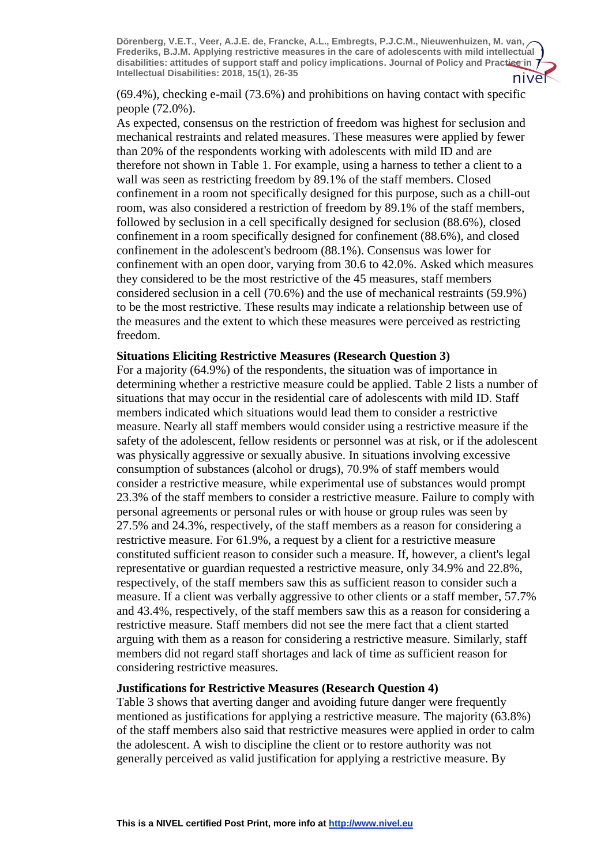(69.4%), checking e-mail (73.6%) and prohibitions on having contact with specific people (72.0%).

As expected, consensus on the restriction of freedom was highest for seclusion and mechanical restraints and related measures. These measures were applied by fewer than 20% of the respondents working with adolescents with mild ID and are therefore not shown in Table 1. For example, using a harness to tether a client to a wall was seen as restricting freedom by 89.1% of the staff members. Closed confinement in a room not specifically designed for this purpose, such as a chill-out room, was also considered a restriction of freedom by 89.1% of the staff members, followed by seclusion in a cell specifically designed for seclusion (88.6%), closed confinement in a room specifically designed for confinement (88.6%), and closed confinement in the adolescent's bedroom (88.1%). Consensus was lower for confinement with an open door, varying from 30.6 to 42.0%. Asked which measures they considered to be the most restrictive of the 45 measures, staff members considered seclusion in a cell (70.6%) and the use of mechanical restraints (59.9%) to be the most restrictive. These results may indicate a relationship between use of the measures and the extent to which these measures were perceived as restricting freedom.

## **Situations Eliciting Restrictive Measures (Research Question 3)**

For a majority (64.9%) of the respondents, the situation was of importance in determining whether a restrictive measure could be applied. Table 2 lists a number of situations that may occur in the residential care of adolescents with mild ID. Staff members indicated which situations would lead them to consider a restrictive measure. Nearly all staff members would consider using a restrictive measure if the safety of the adolescent, fellow residents or personnel was at risk, or if the adolescent was physically aggressive or sexually abusive. In situations involving excessive consumption of substances (alcohol or drugs), 70.9% of staff members would consider a restrictive measure, while experimental use of substances would prompt 23.3% of the staff members to consider a restrictive measure. Failure to comply with personal agreements or personal rules or with house or group rules was seen by 27.5% and 24.3%, respectively, of the staff members as a reason for considering a restrictive measure. For 61.9%, a request by a client for a restrictive measure constituted sufficient reason to consider such a measure. If, however, a client's legal representative or guardian requested a restrictive measure, only 34.9% and 22.8%, respectively, of the staff members saw this as sufficient reason to consider such a measure. If a client was verbally aggressive to other clients or a staff member, 57.7% and 43.4%, respectively, of the staff members saw this as a reason for considering a restrictive measure. Staff members did not see the mere fact that a client started arguing with them as a reason for considering a restrictive measure. Similarly, staff members did not regard staff shortages and lack of time as sufficient reason for considering restrictive measures.

## **Justifications for Restrictive Measures (Research Question 4)**

Table 3 shows that averting danger and avoiding future danger were frequently mentioned as justifications for applying a restrictive measure. The majority (63.8%) of the staff members also said that restrictive measures were applied in order to calm the adolescent. A wish to discipline the client or to restore authority was not generally perceived as valid justification for applying a restrictive measure. By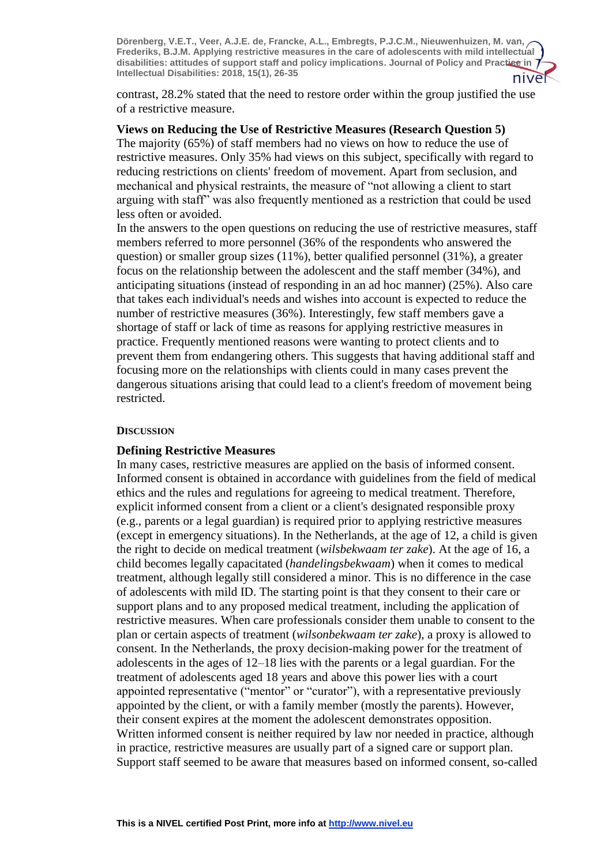contrast, 28.2% stated that the need to restore order within the group justified the use of a restrictive measure.

#### **Views on Reducing the Use of Restrictive Measures (Research Question 5)**

The majority (65%) of staff members had no views on how to reduce the use of restrictive measures. Only 35% had views on this subject, specifically with regard to reducing restrictions on clients' freedom of movement. Apart from seclusion, and mechanical and physical restraints, the measure of "not allowing a client to start arguing with staff" was also frequently mentioned as a restriction that could be used less often or avoided.

In the answers to the open questions on reducing the use of restrictive measures, staff members referred to more personnel (36% of the respondents who answered the question) or smaller group sizes (11%), better qualified personnel (31%), a greater focus on the relationship between the adolescent and the staff member (34%), and anticipating situations (instead of responding in an ad hoc manner) (25%). Also care that takes each individual's needs and wishes into account is expected to reduce the number of restrictive measures (36%). Interestingly, few staff members gave a shortage of staff or lack of time as reasons for applying restrictive measures in practice. Frequently mentioned reasons were wanting to protect clients and to prevent them from endangering others. This suggests that having additional staff and focusing more on the relationships with clients could in many cases prevent the dangerous situations arising that could lead to a client's freedom of movement being restricted.

#### **DISCUSSION**

## **Defining Restrictive Measures**

In many cases, restrictive measures are applied on the basis of informed consent. Informed consent is obtained in accordance with guidelines from the field of medical ethics and the rules and regulations for agreeing to medical treatment. Therefore, explicit informed consent from a client or a client's designated responsible proxy (e.g., parents or a legal guardian) is required prior to applying restrictive measures (except in emergency situations). In the Netherlands, at the age of 12, a child is given the right to decide on medical treatment (*wilsbekwaam ter zake*). At the age of 16, a child becomes legally capacitated (*handelingsbekwaam*) when it comes to medical treatment, although legally still considered a minor. This is no difference in the case of adolescents with mild ID. The starting point is that they consent to their care or support plans and to any proposed medical treatment, including the application of restrictive measures. When care professionals consider them unable to consent to the plan or certain aspects of treatment (*wilsonbekwaam ter zake*), a proxy is allowed to consent. In the Netherlands, the proxy decision-making power for the treatment of adolescents in the ages of 12–18 lies with the parents or a legal guardian. For the treatment of adolescents aged 18 years and above this power lies with a court appointed representative ("mentor" or "curator"), with a representative previously appointed by the client, or with a family member (mostly the parents). However, their consent expires at the moment the adolescent demonstrates opposition. Written informed consent is neither required by law nor needed in practice, although in practice, restrictive measures are usually part of a signed care or support plan. Support staff seemed to be aware that measures based on informed consent, so-called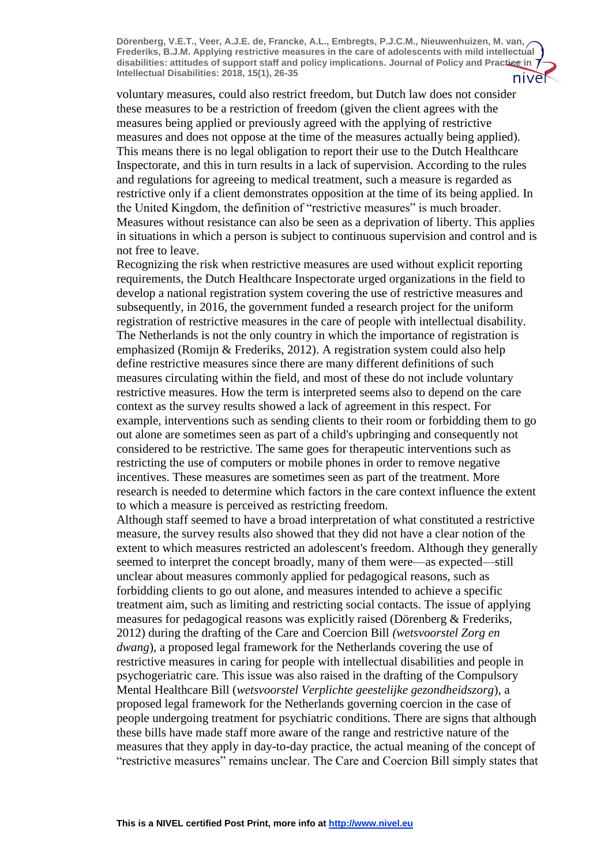voluntary measures, could also restrict freedom, but Dutch law does not consider these measures to be a restriction of freedom (given the client agrees with the measures being applied or previously agreed with the applying of restrictive measures and does not oppose at the time of the measures actually being applied). This means there is no legal obligation to report their use to the Dutch Healthcare Inspectorate, and this in turn results in a lack of supervision. According to the rules and regulations for agreeing to medical treatment, such a measure is regarded as restrictive only if a client demonstrates opposition at the time of its being applied. In the United Kingdom, the definition of "restrictive measures" is much broader. Measures without resistance can also be seen as a deprivation of liberty. This applies in situations in which a person is subject to continuous supervision and control and is not free to leave.

Recognizing the risk when restrictive measures are used without explicit reporting requirements, the Dutch Healthcare Inspectorate urged organizations in the field to develop a national registration system covering the use of restrictive measures and subsequently, in 2016, the government funded a research project for the uniform registration of restrictive measures in the care of people with intellectual disability. The Netherlands is not the only country in which the importance of registration is emphasized (Romijn & Frederiks, 2012). A registration system could also help define restrictive measures since there are many different definitions of such measures circulating within the field, and most of these do not include voluntary restrictive measures. How the term is interpreted seems also to depend on the care context as the survey results showed a lack of agreement in this respect. For example, interventions such as sending clients to their room or forbidding them to go out alone are sometimes seen as part of a child's upbringing and consequently not considered to be restrictive. The same goes for therapeutic interventions such as restricting the use of computers or mobile phones in order to remove negative incentives. These measures are sometimes seen as part of the treatment. More research is needed to determine which factors in the care context influence the extent to which a measure is perceived as restricting freedom.

Although staff seemed to have a broad interpretation of what constituted a restrictive measure, the survey results also showed that they did not have a clear notion of the extent to which measures restricted an adolescent's freedom. Although they generally seemed to interpret the concept broadly, many of them were—as expected—still unclear about measures commonly applied for pedagogical reasons, such as forbidding clients to go out alone, and measures intended to achieve a specific treatment aim, such as limiting and restricting social contacts. The issue of applying measures for pedagogical reasons was explicitly raised (Dörenberg & Frederiks, 2012) during the drafting of the Care and Coercion Bill *(wetsvoorstel Zorg en dwang*), a proposed legal framework for the Netherlands covering the use of restrictive measures in caring for people with intellectual disabilities and people in psychogeriatric care. This issue was also raised in the drafting of the Compulsory Mental Healthcare Bill (*wetsvoorstel Verplichte geestelijke gezondheidszorg*), a proposed legal framework for the Netherlands governing coercion in the case of people undergoing treatment for psychiatric conditions. There are signs that although these bills have made staff more aware of the range and restrictive nature of the measures that they apply in day-to-day practice, the actual meaning of the concept of "restrictive measures" remains unclear. The Care and Coercion Bill simply states that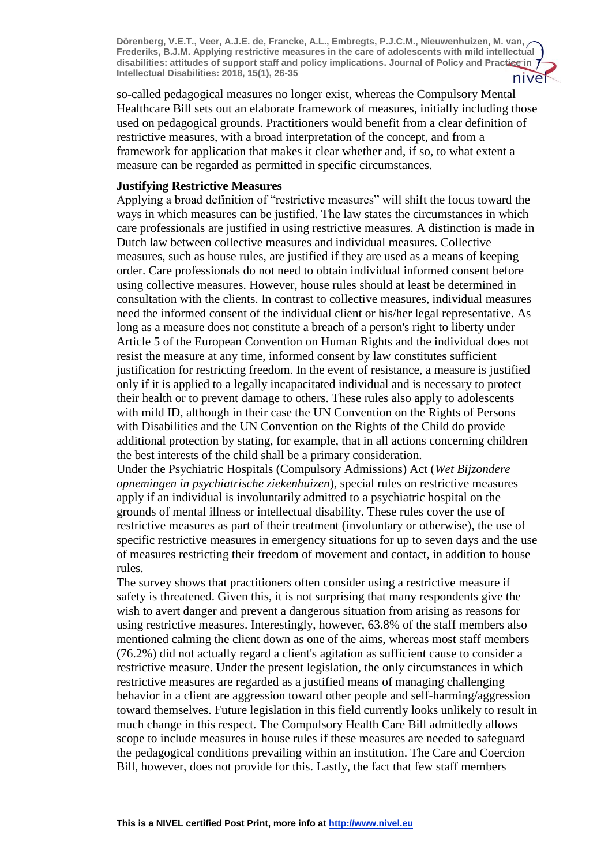so-called pedagogical measures no longer exist, whereas the Compulsory Mental Healthcare Bill sets out an elaborate framework of measures, initially including those used on pedagogical grounds. Practitioners would benefit from a clear definition of restrictive measures, with a broad interpretation of the concept, and from a framework for application that makes it clear whether and, if so, to what extent a measure can be regarded as permitted in specific circumstances.

## **Justifying Restrictive Measures**

Applying a broad definition of "restrictive measures" will shift the focus toward the ways in which measures can be justified. The law states the circumstances in which care professionals are justified in using restrictive measures. A distinction is made in Dutch law between collective measures and individual measures. Collective measures, such as house rules, are justified if they are used as a means of keeping order. Care professionals do not need to obtain individual informed consent before using collective measures. However, house rules should at least be determined in consultation with the clients. In contrast to collective measures, individual measures need the informed consent of the individual client or his/her legal representative. As long as a measure does not constitute a breach of a person's right to liberty under Article 5 of the European Convention on Human Rights and the individual does not resist the measure at any time, informed consent by law constitutes sufficient justification for restricting freedom. In the event of resistance, a measure is justified only if it is applied to a legally incapacitated individual and is necessary to protect their health or to prevent damage to others. These rules also apply to adolescents with mild ID, although in their case the UN Convention on the Rights of Persons with Disabilities and the UN Convention on the Rights of the Child do provide additional protection by stating, for example, that in all actions concerning children the best interests of the child shall be a primary consideration.

Under the Psychiatric Hospitals (Compulsory Admissions) Act (*Wet Bijzondere opnemingen in psychiatrische ziekenhuizen*), special rules on restrictive measures apply if an individual is involuntarily admitted to a psychiatric hospital on the grounds of mental illness or intellectual disability. These rules cover the use of restrictive measures as part of their treatment (involuntary or otherwise), the use of specific restrictive measures in emergency situations for up to seven days and the use of measures restricting their freedom of movement and contact, in addition to house rules.

The survey shows that practitioners often consider using a restrictive measure if safety is threatened. Given this, it is not surprising that many respondents give the wish to avert danger and prevent a dangerous situation from arising as reasons for using restrictive measures. Interestingly, however, 63.8% of the staff members also mentioned calming the client down as one of the aims, whereas most staff members (76.2%) did not actually regard a client's agitation as sufficient cause to consider a restrictive measure. Under the present legislation, the only circumstances in which restrictive measures are regarded as a justified means of managing challenging behavior in a client are aggression toward other people and self-harming/aggression toward themselves. Future legislation in this field currently looks unlikely to result in much change in this respect. The Compulsory Health Care Bill admittedly allows scope to include measures in house rules if these measures are needed to safeguard the pedagogical conditions prevailing within an institution. The Care and Coercion Bill, however, does not provide for this. Lastly, the fact that few staff members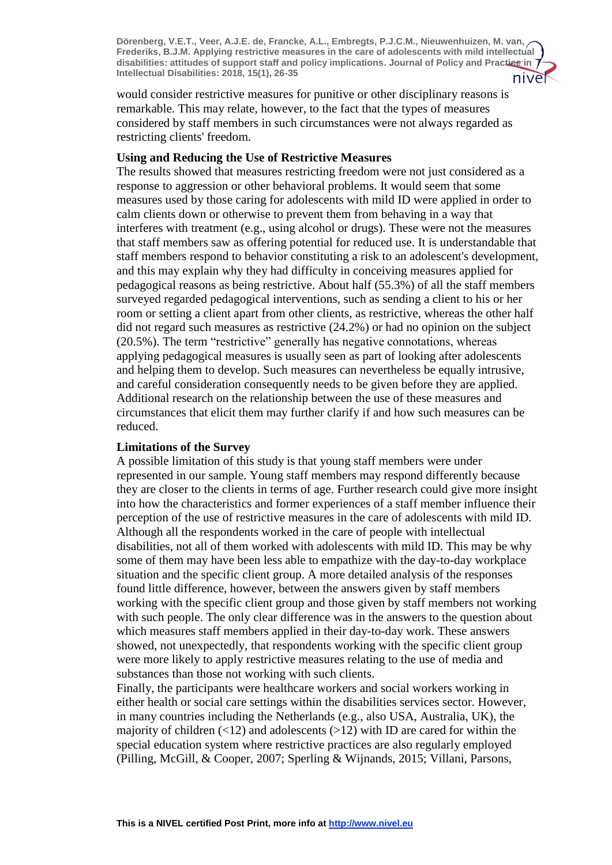would consider restrictive measures for punitive or other disciplinary reasons is remarkable. This may relate, however, to the fact that the types of measures considered by staff members in such circumstances were not always regarded as restricting clients' freedom.

## **Using and Reducing the Use of Restrictive Measures**

The results showed that measures restricting freedom were not just considered as a response to aggression or other behavioral problems. It would seem that some measures used by those caring for adolescents with mild ID were applied in order to calm clients down or otherwise to prevent them from behaving in a way that interferes with treatment (e.g., using alcohol or drugs). These were not the measures that staff members saw as offering potential for reduced use. It is understandable that staff members respond to behavior constituting a risk to an adolescent's development, and this may explain why they had difficulty in conceiving measures applied for pedagogical reasons as being restrictive. About half (55.3%) of all the staff members surveyed regarded pedagogical interventions, such as sending a client to his or her room or setting a client apart from other clients, as restrictive, whereas the other half did not regard such measures as restrictive (24.2%) or had no opinion on the subject (20.5%). The term "restrictive" generally has negative connotations, whereas applying pedagogical measures is usually seen as part of looking after adolescents and helping them to develop. Such measures can nevertheless be equally intrusive, and careful consideration consequently needs to be given before they are applied. Additional research on the relationship between the use of these measures and circumstances that elicit them may further clarify if and how such measures can be reduced.

# **Limitations of the Survey**

A possible limitation of this study is that young staff members were under represented in our sample. Young staff members may respond differently because they are closer to the clients in terms of age. Further research could give more insight into how the characteristics and former experiences of a staff member influence their perception of the use of restrictive measures in the care of adolescents with mild ID. Although all the respondents worked in the care of people with intellectual disabilities, not all of them worked with adolescents with mild ID. This may be why some of them may have been less able to empathize with the day-to-day workplace situation and the specific client group. A more detailed analysis of the responses found little difference, however, between the answers given by staff members working with the specific client group and those given by staff members not working with such people. The only clear difference was in the answers to the question about which measures staff members applied in their day-to-day work. These answers showed, not unexpectedly, that respondents working with the specific client group were more likely to apply restrictive measures relating to the use of media and substances than those not working with such clients.

Finally, the participants were healthcare workers and social workers working in either health or social care settings within the disabilities services sector. However, in many countries including the Netherlands (e.g., also USA, Australia, UK), the majority of children  $\langle 2 \rangle$  and adolescents  $\langle 2 \rangle$  with ID are cared for within the special education system where restrictive practices are also regularly employed (Pilling, McGill, & Cooper, 2007; Sperling & Wijnands, 2015; Villani, Parsons,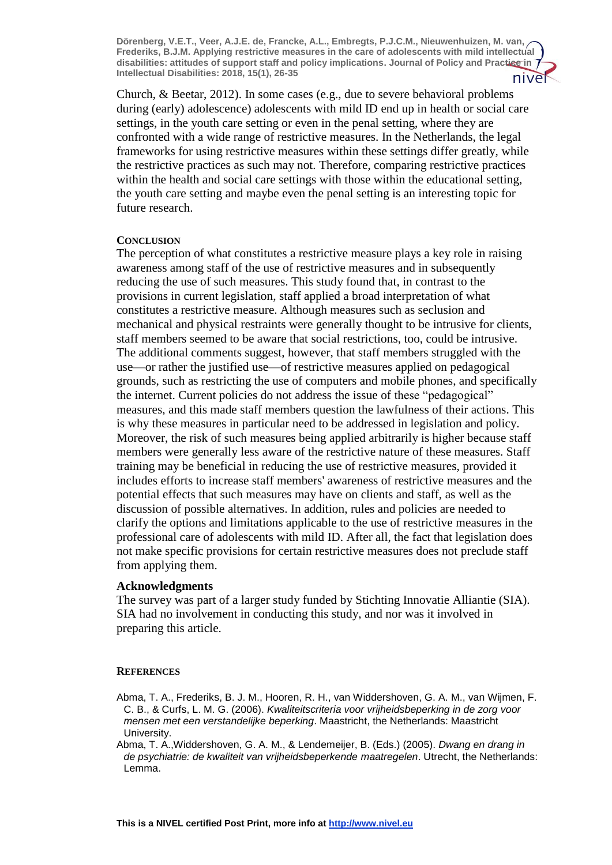Church, & Beetar, 2012). In some cases (e.g., due to severe behavioral problems during (early) adolescence) adolescents with mild ID end up in health or social care settings, in the youth care setting or even in the penal setting, where they are confronted with a wide range of restrictive measures. In the Netherlands, the legal frameworks for using restrictive measures within these settings differ greatly, while the restrictive practices as such may not. Therefore, comparing restrictive practices within the health and social care settings with those within the educational setting, the youth care setting and maybe even the penal setting is an interesting topic for future research.

#### **CONCLUSION**

The perception of what constitutes a restrictive measure plays a key role in raising awareness among staff of the use of restrictive measures and in subsequently reducing the use of such measures. This study found that, in contrast to the provisions in current legislation, staff applied a broad interpretation of what constitutes a restrictive measure. Although measures such as seclusion and mechanical and physical restraints were generally thought to be intrusive for clients, staff members seemed to be aware that social restrictions, too, could be intrusive. The additional comments suggest, however, that staff members struggled with the use—or rather the justified use—of restrictive measures applied on pedagogical grounds, such as restricting the use of computers and mobile phones, and specifically the internet. Current policies do not address the issue of these "pedagogical" measures, and this made staff members question the lawfulness of their actions. This is why these measures in particular need to be addressed in legislation and policy. Moreover, the risk of such measures being applied arbitrarily is higher because staff members were generally less aware of the restrictive nature of these measures. Staff training may be beneficial in reducing the use of restrictive measures, provided it includes efforts to increase staff members' awareness of restrictive measures and the potential effects that such measures may have on clients and staff, as well as the discussion of possible alternatives. In addition, rules and policies are needed to clarify the options and limitations applicable to the use of restrictive measures in the professional care of adolescents with mild ID. After all, the fact that legislation does not make specific provisions for certain restrictive measures does not preclude staff from applying them.

## **Acknowledgments**

The survey was part of a larger study funded by Stichting Innovatie Alliantie (SIA). SIA had no involvement in conducting this study, and nor was it involved in preparing this article.

#### **REFERENCES**

- Abma, T. A., Frederiks, B. J. M., Hooren, R. H., van Widdershoven, G. A. M., van Wijmen, F. C. B., & Curfs, L. M. G. (2006). *Kwaliteitscriteria voor vrijheidsbeperking in de zorg voor mensen met een verstandelijke beperking*. Maastricht, the Netherlands: Maastricht University.
- Abma, T. A.,Widdershoven, G. A. M., & Lendemeijer, B. (Eds.) (2005). *Dwang en drang in de psychiatrie: de kwaliteit van vrijheidsbeperkende maatregelen*. Utrecht, the Netherlands: Lemma.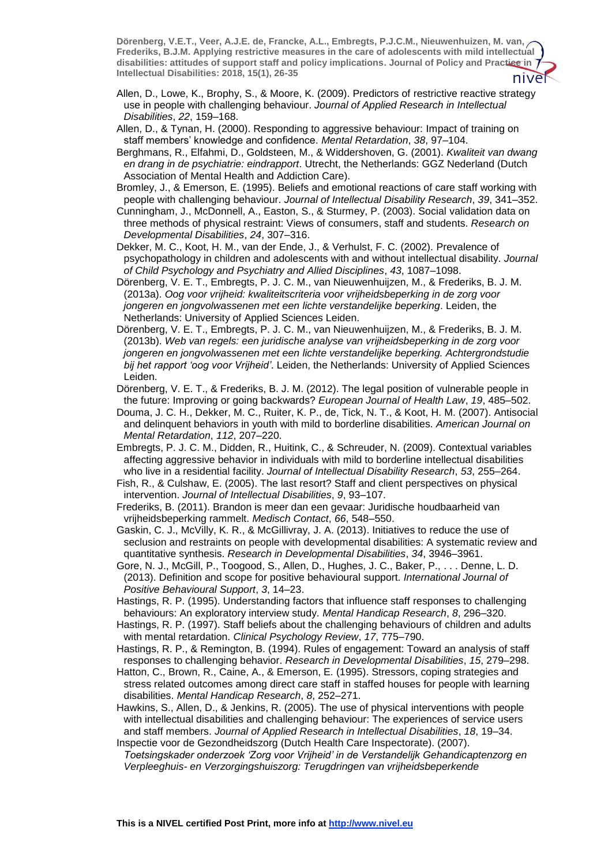- Allen, D., Lowe, K., Brophy, S., & Moore, K. (2009). Predictors of restrictive reactive strategy use in people with challenging behaviour. *Journal of Applied Research in Intellectual Disabilities*, *22*, 159–168.
- Allen, D., & Tynan, H. (2000). Responding to aggressive behaviour: Impact of training on staff members' knowledge and confidence. *Mental Retardation*, *38*, 97–104.
- Berghmans, R., Elfahmi, D., Goldsteen, M., & Widdershoven, G. (2001). *Kwaliteit van dwang en drang in de psychiatrie: eindrapport*. Utrecht, the Netherlands: GGZ Nederland (Dutch Association of Mental Health and Addiction Care).
- Bromley, J., & Emerson, E. (1995). Beliefs and emotional reactions of care staff working with people with challenging behaviour. *Journal of Intellectual Disability Research*, *39*, 341–352.
- Cunningham, J., McDonnell, A., Easton, S., & Sturmey, P. (2003). Social validation data on three methods of physical restraint: Views of consumers, staff and students. *Research on Developmental Disabilities*, *24*, 307–316.
- Dekker, M. C., Koot, H. M., van der Ende, J., & Verhulst, F. C. (2002). Prevalence of psychopathology in children and adolescents with and without intellectual disability. *Journal of Child Psychology and Psychiatry and Allied Disciplines*, *43*, 1087–1098.
- Dörenberg, V. E. T., Embregts, P. J. C. M., van Nieuwenhuijzen, M., & Frederiks, B. J. M. (2013a). *Oog voor vrijheid: kwaliteitscriteria voor vrijheidsbeperking in de zorg voor jongeren en jongvolwassenen met een lichte verstandelijke beperking*. Leiden, the Netherlands: University of Applied Sciences Leiden.
- Dörenberg, V. E. T., Embregts, P. J. C. M., van Nieuwenhuijzen, M., & Frederiks, B. J. M. (2013b). *Web van regels: een juridische analyse van vrijheidsbeperking in de zorg voor jongeren en jongvolwassenen met een lichte verstandelijke beperking. Achtergrondstudie bij het rapport 'oog voor Vrijheid'*. Leiden, the Netherlands: University of Applied Sciences Leiden.
- Dörenberg, V. E. T., & Frederiks, B. J. M. (2012). The legal position of vulnerable people in the future: Improving or going backwards? *European Journal of Health Law*, *19*, 485–502.
- Douma, J. C. H., Dekker, M. C., Ruiter, K. P., de, Tick, N. T., & Koot, H. M. (2007). Antisocial and delinquent behaviors in youth with mild to borderline disabilities. *American Journal on Mental Retardation*, *112*, 207–220.
- Embregts, P. J. C. M., Didden, R., Huitink, C., & Schreuder, N. (2009). Contextual variables affecting aggressive behavior in individuals with mild to borderline intellectual disabilities who live in a residential facility. *Journal of Intellectual Disability Research*, *53*, 255–264.
- Fish, R., & Culshaw, E. (2005). The last resort? Staff and client perspectives on physical intervention. *Journal of Intellectual Disabilities*, *9*, 93–107.
- Frederiks, B. (2011). Brandon is meer dan een gevaar: Juridische houdbaarheid van vrijheidsbeperking rammelt. *Medisch Contact*, *66*, 548–550.
- Gaskin, C. J., McVilly, K. R., & McGillivray, J. A. (2013). Initiatives to reduce the use of seclusion and restraints on people with developmental disabilities: A systematic review and quantitative synthesis. *Research in Developmental Disabilities*, *34*, 3946–3961.
- Gore, N. J., McGill, P., Toogood, S., Allen, D., Hughes, J. C., Baker, P., . . . Denne, L. D. (2013). Definition and scope for positive behavioural support. *International Journal of Positive Behavioural Support*, *3*, 14–23.
- Hastings, R. P. (1995). Understanding factors that influence staff responses to challenging behaviours: An exploratory interview study. *Mental Handicap Research*, *8*, 296–320.
- Hastings, R. P. (1997). Staff beliefs about the challenging behaviours of children and adults with mental retardation. *Clinical Psychology Review*, *17*, 775–790.
- Hastings, R. P., & Remington, B. (1994). Rules of engagement: Toward an analysis of staff responses to challenging behavior. *Research in Developmental Disabilities*, *15*, 279–298.
- Hatton, C., Brown, R., Caine, A., & Emerson, E. (1995). Stressors, coping strategies and stress related outcomes among direct care staff in staffed houses for people with learning disabilities. *Mental Handicap Research*, *8*, 252–271.
- Hawkins, S., Allen, D., & Jenkins, R. (2005). The use of physical interventions with people with intellectual disabilities and challenging behaviour: The experiences of service users and staff members. *Journal of Applied Research in Intellectual Disabilities*, *18*, 19–34. Inspectie voor de Gezondheidszorg (Dutch Health Care Inspectorate). (2007).
- *Toetsingskader onderzoek 'Zorg voor Vrijheid' in de Verstandelijk Gehandicaptenzorg en Verpleeghuis- en Verzorgingshuiszorg: Terugdringen van vrijheidsbeperkende*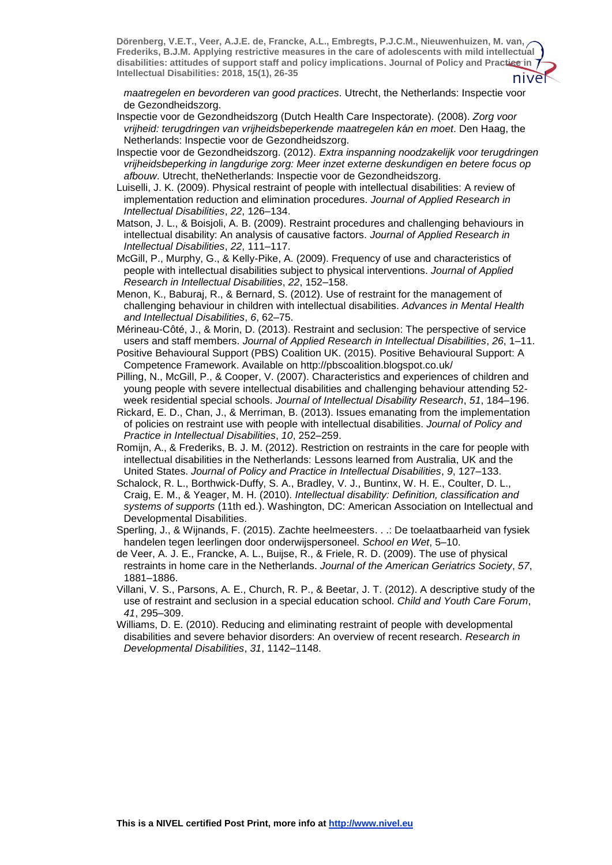*maatregelen en bevorderen van good practices*. Utrecht, the Netherlands: Inspectie voor de Gezondheidszorg.

- Inspectie voor de Gezondheidszorg (Dutch Health Care Inspectorate). (2008). *Zorg voor vrijheid: terugdringen van vrijheidsbeperkende maatregelen k*á*n en moet*. Den Haag, the Netherlands: Inspectie voor de Gezondheidszorg.
- Inspectie voor de Gezondheidszorg. (2012). *Extra inspanning noodzakelijk voor terugdringen vrijheidsbeperking in langdurige zorg: Meer inzet externe deskundigen en betere focus op afbouw*. Utrecht, theNetherlands: Inspectie voor de Gezondheidszorg.
- Luiselli, J. K. (2009). Physical restraint of people with intellectual disabilities: A review of implementation reduction and elimination procedures. *Journal of Applied Research in Intellectual Disabilities*, *22*, 126–134.
- Matson, J. L., & Boisjoli, A. B. (2009). Restraint procedures and challenging behaviours in intellectual disability: An analysis of causative factors. *Journal of Applied Research in Intellectual Disabilities*, *22*, 111–117.
- McGill, P., Murphy, G., & Kelly-Pike, A. (2009). Frequency of use and characteristics of people with intellectual disabilities subject to physical interventions. *Journal of Applied Research in Intellectual Disabilities*, *22*, 152–158.
- Menon, K., Baburaj, R., & Bernard, S. (2012). Use of restraint for the management of challenging behaviour in children with intellectual disabilities. *Advances in Mental Health and Intellectual Disabilities*, *6*, 62–75.
- Mérineau-Côté, J., & Morin, D. (2013). Restraint and seclusion: The perspective of service users and staff members. *Journal of Applied Research in Intellectual Disabilities*, *26*, 1–11.
- Positive Behavioural Support (PBS) Coalition UK. (2015). Positive Behavioural Support: A Competence Framework. Available on http://pbscoalition.blogspot.co.uk/
- Pilling, N., McGill, P., & Cooper, V. (2007). Characteristics and experiences of children and young people with severe intellectual disabilities and challenging behaviour attending 52 week residential special schools. *Journal of Intellectual Disability Research*, *51*, 184–196.
- Rickard, E. D., Chan, J., & Merriman, B. (2013). Issues emanating from the implementation of policies on restraint use with people with intellectual disabilities. *Journal of Policy and Practice in Intellectual Disabilities*, *10*, 252–259.
- Romijn, A., & Frederiks, B. J. M. (2012). Restriction on restraints in the care for people with intellectual disabilities in the Netherlands: Lessons learned from Australia, UK and the United States. *Journal of Policy and Practice in Intellectual Disabilities*, *9*, 127–133.
- Schalock, R. L., Borthwick-Duffy, S. A., Bradley, V. J., Buntinx, W. H. E., Coulter, D. L., Craig, E. M., & Yeager, M. H. (2010). *Intellectual disability: Definition, classification and systems of supports* (11th ed.). Washington, DC: American Association on Intellectual and Developmental Disabilities.
- Sperling, J., & Wijnands, F. (2015). Zachte heelmeesters. . .: De toelaatbaarheid van fysiek handelen tegen leerlingen door onderwijspersoneel. *School en Wet*, 5–10.
- de Veer, A. J. E., Francke, A. L., Buijse, R., & Friele, R. D. (2009). The use of physical restraints in home care in the Netherlands. *Journal of the American Geriatrics Society*, *57*, 1881–1886.
- Villani, V. S., Parsons, A. E., Church, R. P., & Beetar, J. T. (2012). A descriptive study of the use of restraint and seclusion in a special education school. *Child and Youth Care Forum*, *41*, 295–309.
- Williams, D. E. (2010). Reducing and eliminating restraint of people with developmental disabilities and severe behavior disorders: An overview of recent research. *Research in Developmental Disabilities*, *31*, 1142–1148.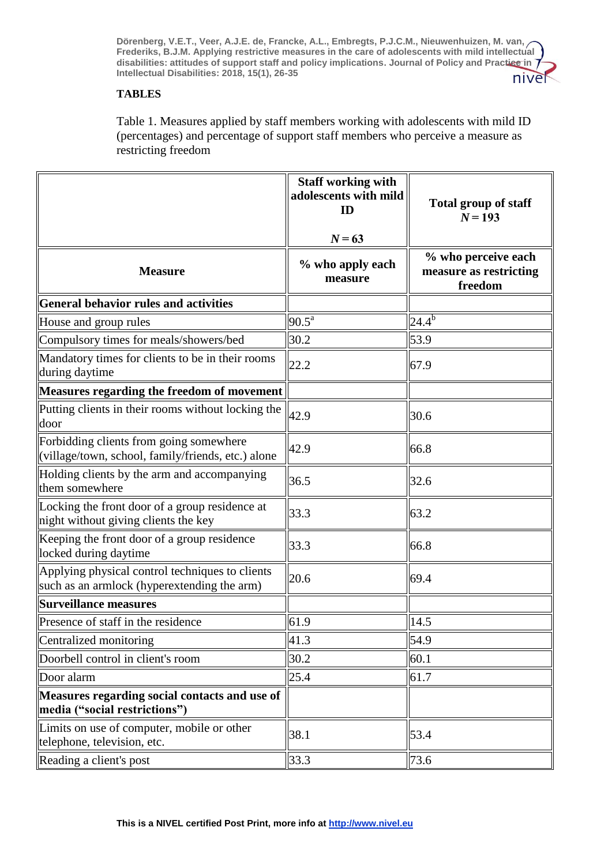# **TABLES**

Table 1. Measures applied by staff members working with adolescents with mild ID (percentages) and percentage of support staff members who perceive a measure as restricting freedom

|                                                                                                | <b>Staff working with</b><br>adolescents with mild<br>ID<br>$N = 63$ | <b>Total group of staff</b><br>$N = 193$                 |
|------------------------------------------------------------------------------------------------|----------------------------------------------------------------------|----------------------------------------------------------|
| <b>Measure</b>                                                                                 | % who apply each<br>measure                                          | % who perceive each<br>measure as restricting<br>freedom |
| <b>General behavior rules and activities</b>                                                   |                                                                      |                                                          |
| House and group rules                                                                          | $90.5^{\text{a}}$                                                    | $24.4^{b}$                                               |
| Compulsory times for meals/showers/bed                                                         | 30.2                                                                 | 53.9                                                     |
| Mandatory times for clients to be in their rooms<br>during daytime                             | 22.2                                                                 | 67.9                                                     |
| Measures regarding the freedom of movement                                                     |                                                                      |                                                          |
| Putting clients in their rooms without locking the<br>door                                     | 42.9                                                                 | 30.6                                                     |
| Forbidding clients from going somewhere<br>(village/town, school, family/friends, etc.) alone  | 42.9                                                                 | 66.8                                                     |
| Holding clients by the arm and accompanying<br>them somewhere                                  | 36.5                                                                 | 32.6                                                     |
| Locking the front door of a group residence at<br>night without giving clients the key         | 33.3                                                                 | 63.2                                                     |
| Keeping the front door of a group residence<br>locked during daytime                           | 33.3                                                                 | 66.8                                                     |
| Applying physical control techniques to clients<br>such as an armlock (hyperextending the arm) | 20.6                                                                 | 69.4                                                     |
| Surveillance measures                                                                          |                                                                      |                                                          |
| Presence of staff in the residence                                                             | 61.9                                                                 | 14.5                                                     |
| Centralized monitoring                                                                         | 41.3                                                                 | 54.9                                                     |
| Doorbell control in client's room                                                              | 30.2                                                                 | 60.1                                                     |
| Door alarm                                                                                     | 25.4                                                                 | 61.7                                                     |
| Measures regarding social contacts and use of<br>media ("social restrictions")                 |                                                                      |                                                          |
| Limits on use of computer, mobile or other<br>telephone, television, etc.                      | 38.1                                                                 | 53.4                                                     |
| Reading a client's post                                                                        | 33.3                                                                 | 73.6                                                     |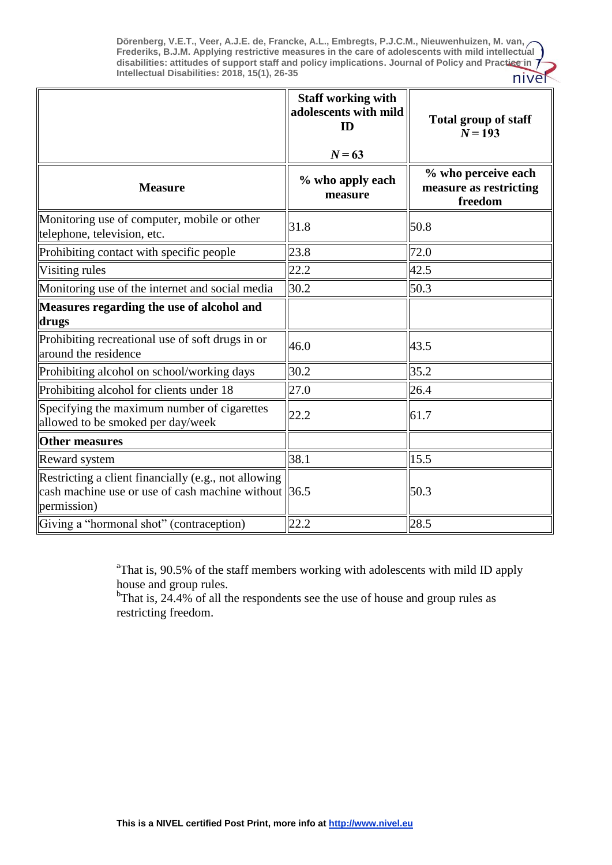|                                                                                                                                         | <b>Staff working with</b><br>adolescents with mild<br>ID<br>$N = 63$ | <b>Total group of staff</b><br>$N = 193$                 |
|-----------------------------------------------------------------------------------------------------------------------------------------|----------------------------------------------------------------------|----------------------------------------------------------|
| <b>Measure</b>                                                                                                                          | % who apply each<br>measure                                          | % who perceive each<br>measure as restricting<br>freedom |
| Monitoring use of computer, mobile or other<br>telephone, television, etc.                                                              | 31.8                                                                 | 50.8                                                     |
| Prohibiting contact with specific people                                                                                                | 23.8                                                                 | 72.0                                                     |
| Visiting rules                                                                                                                          | 22.2                                                                 | 42.5                                                     |
| Monitoring use of the internet and social media                                                                                         | 30.2                                                                 | 50.3                                                     |
| Measures regarding the use of alcohol and<br>drugs                                                                                      |                                                                      |                                                          |
| Prohibiting recreational use of soft drugs in or<br>around the residence                                                                | 46.0                                                                 | 43.5                                                     |
| Prohibiting alcohol on school/working days                                                                                              | 30.2                                                                 | 35.2                                                     |
| Prohibiting alcohol for clients under 18                                                                                                | 27.0                                                                 | 26.4                                                     |
| Specifying the maximum number of cigarettes<br>allowed to be smoked per day/week                                                        | 22.2                                                                 | 61.7                                                     |
| <b>Other measures</b>                                                                                                                   |                                                                      |                                                          |
| Reward system                                                                                                                           | 38.1                                                                 | 15.5                                                     |
| Restricting a client financially (e.g., not allowing<br>cash machine use or use of cash machine without $\parallel$ 36.5<br>permission) |                                                                      | 50.3                                                     |
| Giving a "hormonal shot" (contraception)                                                                                                | 22.2                                                                 | 28.5                                                     |

<sup>a</sup>That is, 90.5% of the staff members working with adolescents with mild ID apply house and group rules.

 $^{\rm b}$ That is, 24.4% of all the respondents see the use of house and group rules as restricting freedom.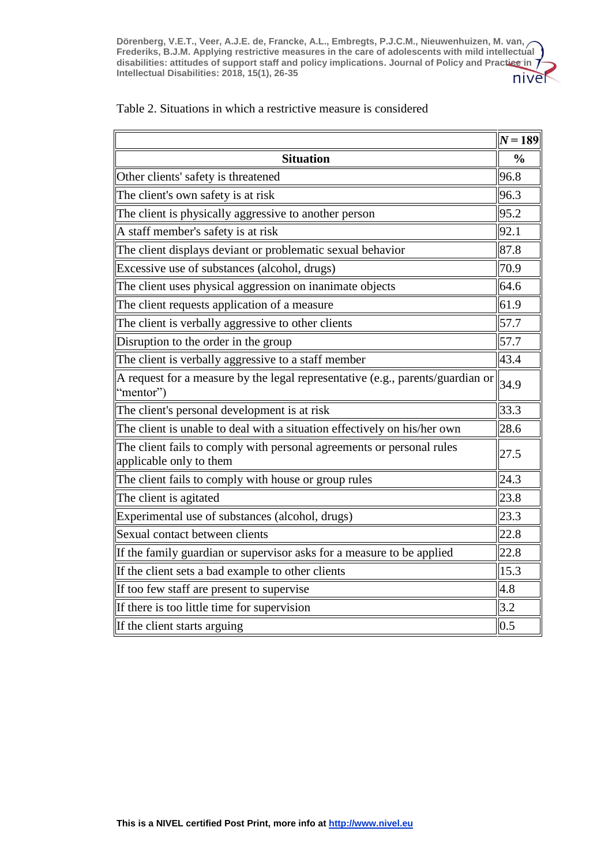# Table 2. Situations in which a restrictive measure is considered

|                                                                                                  | $N = 189$     |  |
|--------------------------------------------------------------------------------------------------|---------------|--|
| <b>Situation</b>                                                                                 | $\frac{0}{0}$ |  |
| 96.8<br>Other clients' safety is threatened                                                      |               |  |
| The client's own safety is at risk                                                               | 96.3          |  |
| The client is physically aggressive to another person                                            | 95.2          |  |
| A staff member's safety is at risk                                                               | 92.1          |  |
| The client displays deviant or problematic sexual behavior                                       | 87.8          |  |
| Excessive use of substances (alcohol, drugs)                                                     | 70.9          |  |
| The client uses physical aggression on inanimate objects                                         | 64.6          |  |
| The client requests application of a measure                                                     | 61.9          |  |
| The client is verbally aggressive to other clients                                               | 57.7          |  |
| Disruption to the order in the group                                                             | 57.7          |  |
| The client is verbally aggressive to a staff member                                              | 43.4          |  |
| A request for a measure by the legal representative (e.g., parents/guardian or<br>'mentor'')     | 34.9          |  |
| The client's personal development is at risk                                                     | 33.3          |  |
| The client is unable to deal with a situation effectively on his/her own                         | 28.6          |  |
| The client fails to comply with personal agreements or personal rules<br>applicable only to them |               |  |
| The client fails to comply with house or group rules                                             | 24.3          |  |
| The client is agitated                                                                           | 23.8          |  |
| Experimental use of substances (alcohol, drugs)                                                  | 23.3          |  |
| Sexual contact between clients                                                                   | 22.8          |  |
| If the family guardian or supervisor asks for a measure to be applied                            | 22.8          |  |
| If the client sets a bad example to other clients                                                | 15.3          |  |
| If too few staff are present to supervise                                                        | 4.8           |  |
| If there is too little time for supervision                                                      |               |  |
| If the client starts arguing                                                                     | 0.5           |  |